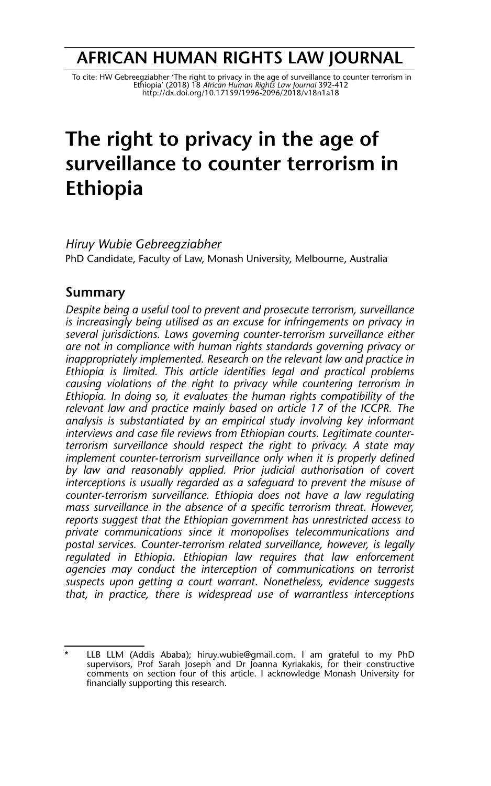## **AFRICAN HUMAN RIGHTS LAW JOURNAL**

To cite: HW Gebreegziabher 'The right to privacy in the age of surveillance to counter terrorism in The age of<br>Ethiopia' (2018) 18 *African Human Rights Law Journal 392-*412<br>http://dx.doi.org/10.171*59/1996-2096/2018/v18n1* 

# **The right to privacy in the age of surveillance to counter terrorism in Ethiopia**

*Hiruy Wubie Gebreegziabher* PhD Candidate, Faculty of Law, Monash University, Melbourne, Australia

#### **Summary**

*Despite being a useful tool to prevent and prosecute terrorism, surveillance is increasingly being utilised as an excuse for infringements on privacy in several jurisdictions. Laws governing counter-terrorism surveillance either are not in compliance with human rights standards governing privacy or inappropriately implemented. Research on the relevant law and practice in Ethiopia is limited. This article identifies legal and practical problems causing violations of the right to privacy while countering terrorism in Ethiopia. In doing so, it evaluates the human rights compatibility of the relevant law and practice mainly based on article 17 of the ICCPR. The analysis is substantiated by an empirical study involving key informant interviews and case file reviews from Ethiopian courts. Legitimate counterterrorism surveillance should respect the right to privacy. A state may implement counter-terrorism surveillance only when it is properly defined by law and reasonably applied. Prior judicial authorisation of covert interceptions is usually regarded as a safeguard to prevent the misuse of counter-terrorism surveillance. Ethiopia does not have a law regulating mass surveillance in the absence of a specific terrorism threat. However, reports suggest that the Ethiopian government has unrestricted access to private communications since it monopolises telecommunications and postal services. Counter-terrorism related surveillance, however, is legally regulated in Ethiopia. Ethiopian law requires that law enforcement agencies may conduct the interception of communications on terrorist suspects upon getting a court warrant. Nonetheless, evidence suggests that, in practice, there is widespread use of warrantless interceptions*

<sup>\*</sup> LLB LLM (Addis Ababa); hiruy.wubie@gmail.com. I am grateful to my PhD supervisors, Prof Sarah Joseph and Dr Joanna Kyriakakis, for their constructive comments on section four of this article. I acknowledge Monash University for financially supporting this research.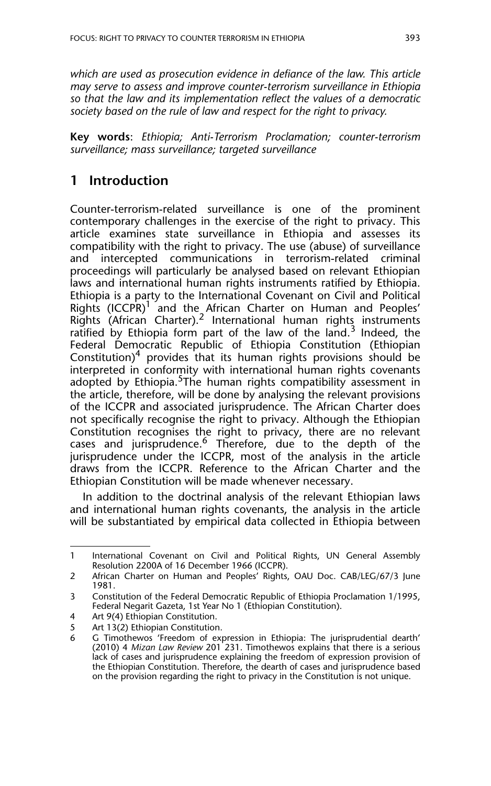*which are used as prosecution evidence in defiance of the law. This article may serve to assess and improve counter-terrorism surveillance in Ethiopia so that the law and its implementation reflect the values of a democratic society based on the rule of law and respect for the right to privacy.* 

**Key words**: *Ethiopia; Anti-Terrorism Proclamation; counter-terrorism surveillance; mass surveillance; targeted surveillance*

## **1 Introduction**

Counter-terrorism-related surveillance is one of the prominent contemporary challenges in the exercise of the right to privacy. This article examines state surveillance in Ethiopia and assesses its compatibility with the right to privacy. The use (abuse) of surveillance and intercepted communications in terrorism-related criminal proceedings will particularly be analysed based on relevant Ethiopian laws and international human rights instruments ratified by Ethiopia. Ethiopia is a party to the International Covenant on Civil and Political Rights (ICCPR)<sup>1</sup> and the African Charter on Human and Peoples' Rights (African Charter).<sup>2</sup> International human rights instruments ratified by Ethiopia form part of the law of the land. $3$  Indeed, the Federal Democratic Republic of Ethiopia Constitution (Ethiopian Constitution)<sup>4</sup> provides that its human rights provisions should be interpreted in conformity with international human rights covenants adopted by Ethiopia.<sup>5</sup>The human rights compatibility assessment in the article, therefore, will be done by analysing the relevant provisions of the ICCPR and associated jurisprudence. The African Charter does not specifically recognise the right to privacy. Although the Ethiopian Constitution recognises the right to privacy, there are no relevant cases and jurisprudence.<sup>6</sup> Therefore, due to the depth of the jurisprudence under the ICCPR, most of the analysis in the article draws from the ICCPR. Reference to the African Charter and the Ethiopian Constitution will be made whenever necessary.

In addition to the doctrinal analysis of the relevant Ethiopian laws and international human rights covenants, the analysis in the article will be substantiated by empirical data collected in Ethiopia between

<sup>1</sup> International Covenant on Civil and Political Rights, UN General Assembly Resolution 2200A of 16 December 1966 (ICCPR).

<sup>2</sup> African Charter on Human and Peoples' Rights, OAU Doc. CAB/LEG/67/3 June 1981.

<sup>3</sup> Constitution of the Federal Democratic Republic of Ethiopia Proclamation 1/1995, Federal Negarit Gazeta, 1st Year No 1 (Ethiopian Constitution).

<sup>4</sup> Art 9(4) Ethiopian Constitution.

<sup>5</sup> Art 13(2) Ethiopian Constitution.<br>6 G. Timothewos 'Freedom of exi

<sup>6</sup> G Timothewos 'Freedom of expression in Ethiopia: The jurisprudential dearth' (2010) 4 *Mizan Law Review* 201 231. Timothewos explains that there is a serious lack of cases and jurisprudence explaining the freedom of expression provision of the Ethiopian Constitution. Therefore, the dearth of cases and jurisprudence based on the provision regarding the right to privacy in the Constitution is not unique.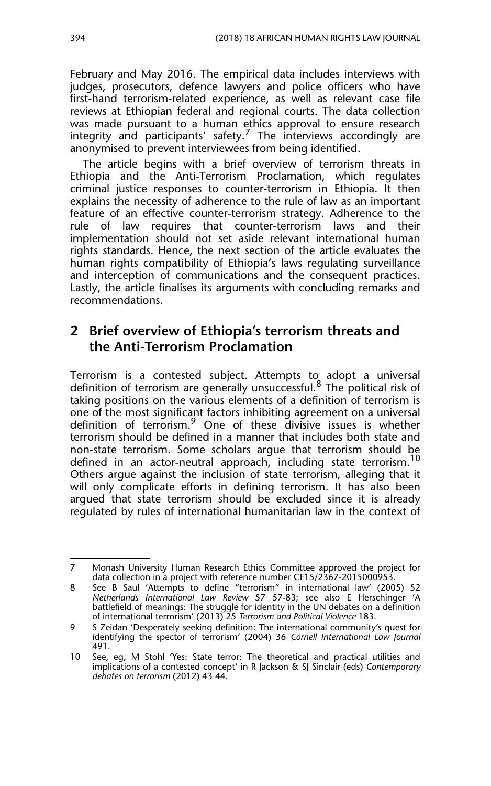February and May 2016. The empirical data includes interviews with judges, prosecutors, defence lawyers and police officers who have first-hand terrorism-related experience, as well as relevant case file reviews at Ethiopian federal and regional courts. The data collection was made pursuant to a human ethics approval to ensure research integrity and participants' safety.<sup>7</sup> The interviews accordingly are anonymised to prevent interviewees from being identified.

The article begins with a brief overview of terrorism threats in Ethiopia and the Anti-Terrorism Proclamation, which regulates criminal justice responses to counter-terrorism in Ethiopia. It then explains the necessity of adherence to the rule of law as an important feature of an effective counter-terrorism strategy. Adherence to the rule of law requires that counter-terrorism laws and their implementation should not set aside relevant international human rights standards. Hence, the next section of the article evaluates the human rights compatibility of Ethiopia's laws regulating surveillance and interception of communications and the consequent practices. Lastly, the article finalises its arguments with concluding remarks and recommendations.

## **2 Brief overview of Ethiopia's terrorism threats and the Anti-Terrorism Proclamation**

Terrorism is a contested subject. Attempts to adopt a universal definition of terrorism are generally unsuccessful.8 The political risk of taking positions on the various elements of a definition of terrorism is one of the most significant factors inhibiting agreement on a universal definition of terrorism.9 One of these divisive issues is whether terrorism should be defined in a manner that includes both state and non-state terrorism. Some scholars argue that terrorism should be defined in an actor-neutral approach, including state terrorism.<sup>10</sup> Others argue against the inclusion of state terrorism, alleging that it will only complicate efforts in defining terrorism. It has also been argued that state terrorism should be excluded since it is already regulated by rules of international humanitarian law in the context of

<sup>7</sup> Monash University Human Research Ethics Committee approved the project for data collection in a project with reference number CF15/2367-2015000953.

<sup>8</sup> See B Saul 'Attempts to define "terrorism" in international law' (2005) 52 *Netherlands International Law Review* 57 57-83; see also E Herschinger 'A battlefield of meanings: The struggle for identity in the UN debates on a definition of international terrorism' (2013) 25 *Terrorism and Political Violence* 183.

<sup>9</sup> S Zeidan 'Desperately seeking definition: The international community's quest for identifying the spector of terrorism' (2004) 36 *Cornell International Law Journal* 491.

<sup>10</sup> See, eg, M Stohl 'Yes: State terror: The theoretical and practical utilities and implications of a contested concept' in R Jackson & SJ Sinclair (eds) *Contemporary debates on terrorism* (2012) 43 44.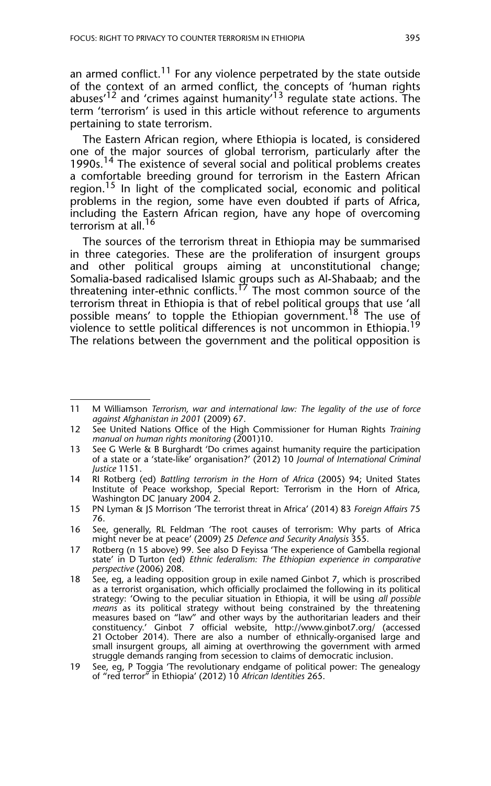an armed conflict.<sup>11</sup> For any violence perpetrated by the state outside of the context of an armed conflict, the concepts of 'human rights abuses<sup> $12$ </sup> and 'crimes against humanity'<sup>13</sup> regulate state actions. The term 'terrorism' is used in this article without reference to arguments pertaining to state terrorism.

The Eastern African region, where Ethiopia is located, is considered one of the major sources of global terrorism, particularly after the 1990s.<sup>14</sup> The existence of several social and political problems creates a comfortable breeding ground for terrorism in the Eastern African region.<sup>15</sup> In light of the complicated social, economic and political problems in the region, some have even doubted if parts of Africa, including the Eastern African region, have any hope of overcoming terrorism at all.<sup>16</sup>

The sources of the terrorism threat in Ethiopia may be summarised in three categories. These are the proliferation of insurgent groups and other political groups aiming at unconstitutional change; Somalia-based radicalised Islamic groups such as Al-Shabaab; and the threatening inter-ethnic conflicts.<sup>17</sup> The most common source of the terrorism threat in Ethiopia is that of rebel political groups that use 'all possible means' to topple the Ethiopian government.<sup>18</sup> The use of violence to settle political differences is not uncommon in Ethiopia.<sup>19</sup> The relations between the government and the political opposition is

15 PN Lyman & JS Morrison 'The terrorist threat in Africa' (2014) 83 *Foreign Affairs* 75 76.

<sup>11</sup> M Williamson *Terrorism, war and international law: The legality of the use of force against Afghanistan in 2001* (2009) 67.

<sup>12</sup> See United Nations Office of the High Commissioner for Human Rights *Training manual on human rights monitoring* (2001)10.

<sup>13</sup> See G Werle & B Burghardt 'Do crimes against humanity require the participation of a state or a 'state-like' organisation?' (2012) 10 *Journal of International Criminal Justice* 1151.

<sup>14</sup> RI Rotberg (ed) *Battling terrorism in the Horn of Africa* (2005) 94; United States Institute of Peace workshop, Special Report: Terrorism in the Horn of Africa, Washington DC January 2004 2.

<sup>16</sup> See, generally, RL Feldman 'The root causes of terrorism: Why parts of Africa might never be at peace' (2009) 25 *Defence and Security Analysis* 355.

<sup>17</sup> Rotberg (n 15 above) 99. See also D Feyissa 'The experience of Gambella regional state' in D Turton (ed) *Ethnic federalism: The Ethiopian experience in comparative perspective* (2006) 208.

<sup>18</sup> See, eg, a leading opposition group in exile named Ginbot 7, which is proscribed as a terrorist organisation, which officially proclaimed the following in its political strategy: 'Owing to the peculiar situation in Ethiopia, it will be using *all possible means* as its political strategy without being constrained by the threatening measures based on "law" and other ways by the authoritarian leaders and their constituency.' Ginbot 7 official website, http://www.ginbot7.org/ (accessed 21 October 2014). There are also a number of ethnically-organised large and small insurgent groups, all aiming at overthrowing the government with armed struggle demands ranging from secession to claims of democratic inclusion.

<sup>19</sup> See, eg, P Toggia 'The revolutionary endgame of political power: The genealogy of "red terror" in Ethiopia' (2012) 10 *African Identities* 265.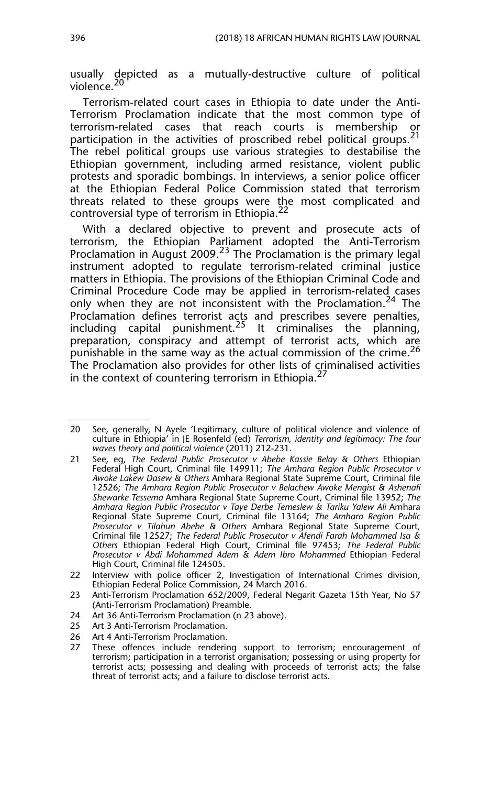usually depicted as a mutually-destructive culture of political violence.<sup>20</sup>

Terrorism-related court cases in Ethiopia to date under the Anti-Terrorism Proclamation indicate that the most common type of terrorism-related cases that reach courts is membership participation in the activities of proscribed rebel political groups.<sup>21</sup> The rebel political groups use various strategies to destabilise the Ethiopian government, including armed resistance, violent public protests and sporadic bombings. In interviews, a senior police officer at the Ethiopian Federal Police Commission stated that terrorism threats related to these groups were the most complicated and controversial type of terrorism in Ethiopia.22

With a declared objective to prevent and prosecute acts of terrorism, the Ethiopian Parliament adopted the Anti-Terrorism Proclamation in August 2009.<sup>23</sup> The Proclamation is the primary legal instrument adopted to regulate terrorism-related criminal justice matters in Ethiopia. The provisions of the Ethiopian Criminal Code and Criminal Procedure Code may be applied in terrorism-related cases only when they are not inconsistent with the Proclamation.<sup>24</sup> The Proclamation defines terrorist acts and prescribes severe penalties, including capital punishment.<sup>25</sup> It criminalises the planning, preparation, conspiracy and attempt of terrorist acts, which are punishable in the same way as the actual commission of the crime.<sup>26</sup> The Proclamation also provides for other lists of criminalised activities in the context of countering terrorism in Ethiopia.<sup>27</sup>

26 Art 4 Anti-Terrorism Proclamation.

<sup>20</sup> See, generally, N Ayele 'Legitimacy, culture of political violence and violence of culture in Ethiopia' in JE Rosenfeld (ed) *Terrorism, identity and legitimacy: The four waves theory and political violence* (2011) 212-231.

<sup>21</sup> See, eg, *The Federal Public Prosecutor v Abebe Kassie Belay & Others* Ethiopian Federal High Court, Criminal file 149911; *The Amhara Region Public Prosecutor v Awoke Lakew Dasew & Others* Amhara Regional State Supreme Court, Criminal file 12526; *The Amhara Region Public Prosecutor v Belachew Awoke Mengist & Ashenafi Shewarke Tessema* Amhara Regional State Supreme Court, Criminal file 13952; *The Amhara Region Public Prosecutor v Taye Derbe Temeslew & Tariku Yalew Ali* Amhara Regional State Supreme Court, Criminal file 13164; *The Amhara Region Public Prosecutor v Tilahun Abebe & Others* Amhara Regional State Supreme Court, Criminal file 12527; *The Federal Public Prosecutor v Afendi Farah Mohammed Isa & Others* Ethiopian Federal High Court, Criminal file 97453; *The Federal Public Prosecutor v Abdi Mohammed Adem & Adem Ibro Mohammed* Ethiopian Federal High Court, Criminal file 124505.

<sup>22</sup> Interview with police officer 2, Investigation of International Crimes division, Ethiopian Federal Police Commission, 24 March 2016.

<sup>23</sup> Anti-Terrorism Proclamation 652/2009, Federal Negarit Gazeta 15th Year, No 57 (Anti-Terrorism Proclamation) Preamble.

<sup>24</sup> Art 36 Anti-Terrorism Proclamation (n 23 above).<br>25 Art 3 Anti-Terrorism Proclamation.

Art 3 Anti-Terrorism Proclamation.

<sup>27</sup> These offences include rendering support to terrorism; encouragement of terrorism; participation in a terrorist organisation; possessing or using property for terrorist acts; possessing and dealing with proceeds of terrorist acts; the false threat of terrorist acts; and a failure to disclose terrorist acts.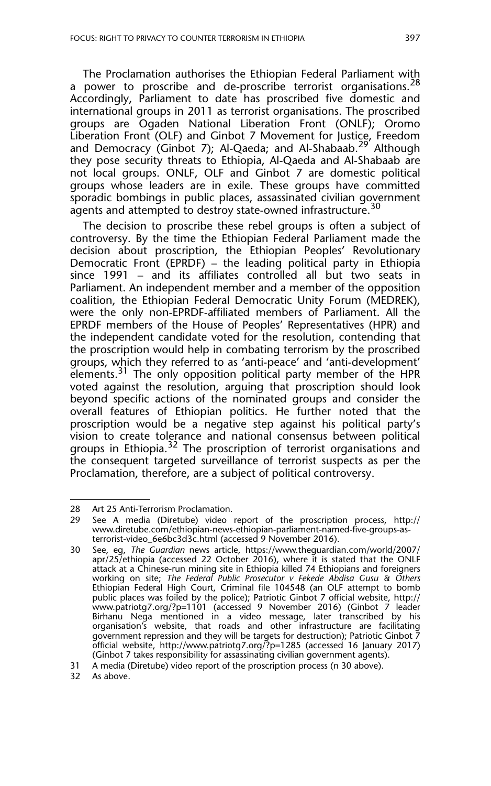The Proclamation authorises the Ethiopian Federal Parliament with a power to proscribe and de-proscribe terrorist organisations.<sup>28</sup> Accordingly, Parliament to date has proscribed five domestic and international groups in 2011 as terrorist organisations. The proscribed groups are Ogaden National Liberation Front (ONLF); Oromo Liberation Front (OLF) and Ginbot 7 Movement for Justice, Freedom and Democracy (Ginbot 7); Al-Qaeda; and Al-Shabaab.<sup>29</sup> Although they pose security threats to Ethiopia, Al-Qaeda and Al-Shabaab are not local groups. ONLF, OLF and Ginbot 7 are domestic political groups whose leaders are in exile. These groups have committed sporadic bombings in public places, assassinated civilian government agents and attempted to destroy state-owned infrastructure.<sup>30</sup>

The decision to proscribe these rebel groups is often a subject of controversy. By the time the Ethiopian Federal Parliament made the decision about proscription, the Ethiopian Peoples' Revolutionary Democratic Front (EPRDF) – the leading political party in Ethiopia since 1991 – and its affiliates controlled all but two seats in Parliament. An independent member and a member of the opposition coalition, the Ethiopian Federal Democratic Unity Forum (MEDREK), were the only non-EPRDF-affiliated members of Parliament. All the EPRDF members of the House of Peoples' Representatives (HPR) and the independent candidate voted for the resolution, contending that the proscription would help in combating terrorism by the proscribed groups, which they referred to as 'anti-peace' and 'anti-development' elements.<sup>31</sup> The only opposition political party member of the HPR voted against the resolution, arguing that proscription should look beyond specific actions of the nominated groups and consider the overall features of Ethiopian politics. He further noted that the proscription would be a negative step against his political party's vision to create tolerance and national consensus between political groups in Ethiopia.<sup>32</sup> The proscription of terrorist organisations and the consequent targeted surveillance of terrorist suspects as per the Proclamation, therefore, are a subject of political controversy.

<sup>28</sup> Art 25 Anti-Terrorism Proclamation.

<sup>29</sup> See A media (Diretube) video report of the proscription process, http:// www.diretube.com/ethiopian-news-ethiopian-parliament-named-five-groups-asterrorist-video\_6e6bc3d3c.html (accessed 9 November 2016).

<sup>30</sup> See, eg, *The Guardian* news article, https://www.theguardian.com/world/2007/ apr/25/ethiopia (accessed 22 October 2016), where it is stated that the ONLF attack at a Chinese-run mining site in Ethiopia killed 74 Ethiopians and foreigners working on site; *The Federal Public Prosecutor v Fekede Abdisa Gusu & Others* Ethiopian Federal High Court, Criminal file 104548 (an OLF attempt to bomb public places was foiled by the police); Patriotic Ginbot 7 official website, http:// www.patriotg7.org/?p=1101 (accessed 9 November 2016) (Ginbot 7 leader Birhanu Nega mentioned in a video message, later transcribed by his organisation's website, that roads and other infrastructure are facilitating government repression and they will be targets for destruction); Patriotic Ginbot 7 official website, http://www.patriotg7.org/?p=1285 (accessed 16 January 2017) (Ginbot 7 takes responsibility for assassinating civilian government agents).

<sup>31</sup> A media (Diretube) video report of the proscription process (n 30 above).

<sup>32</sup> As above.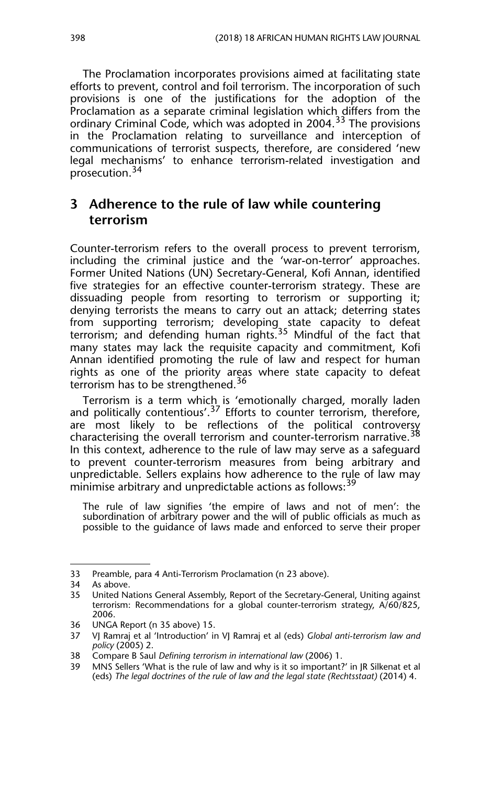The Proclamation incorporates provisions aimed at facilitating state efforts to prevent, control and foil terrorism. The incorporation of such provisions is one of the justifications for the adoption of the Proclamation as a separate criminal legislation which differs from the ordinary Criminal Code, which was adopted in 2004.<sup>33</sup> The provisions in the Proclamation relating to surveillance and interception of communications of terrorist suspects, therefore, are considered 'new legal mechanisms' to enhance terrorism-related investigation and prosecution.<sup>34</sup>

## **3 Adherence to the rule of law while countering terrorism**

Counter-terrorism refers to the overall process to prevent terrorism, including the criminal justice and the 'war-on-terror' approaches. Former United Nations (UN) Secretary-General, Kofi Annan, identified five strategies for an effective counter-terrorism strategy. These are dissuading people from resorting to terrorism or supporting it; denying terrorists the means to carry out an attack; deterring states from supporting terrorism; developing state capacity to defeat terrorism; and defending human rights.<sup>35</sup> Mindful of the fact that many states may lack the requisite capacity and commitment, Kofi Annan identified promoting the rule of law and respect for human rights as one of the priority areas where state capacity to defeat terrorism has to be strengthened.<sup>36</sup>

Terrorism is a term which is 'emotionally charged, morally laden and politically contentious'.<sup>37</sup> Efforts to counter terrorism, therefore, are most likely to be reflections of the political controversy characterising the overall terrorism and counter-terrorism narrative.<sup>38</sup> In this context, adherence to the rule of law may serve as a safeguard to prevent counter-terrorism measures from being arbitrary and unpredictable. Sellers explains how adherence to the rule of law may minimise arbitrary and unpredictable actions as follows:<sup>39</sup>

The rule of law signifies 'the empire of laws and not of men': the subordination of arbitrary power and the will of public officials as much as possible to the guidance of laws made and enforced to serve their proper

<sup>33</sup> Preamble, para 4 Anti-Terrorism Proclamation (n 23 above).

<sup>34</sup> As above.

<sup>35</sup> United Nations General Assembly, Report of the Secretary-General, Uniting against terrorism: Recommendations for a global counter-terrorism strategy, A/60/825, 2006.

<sup>36</sup> UNGA Report (n 35 above) 15.

<sup>37</sup> VJ Ramraj et al 'Introduction' in VJ Ramraj et al (eds) *Global anti-terrorism law and policy* (2005) 2.

<sup>38</sup> Compare B Saul *Defining terrorism in international law* (2006) 1.

MNS Sellers 'What is the rule of law and why is it so important?' in JR Silkenat et al (eds) *The legal doctrines of the rule of law and the legal state (Rechtsstaat)* (2014) 4.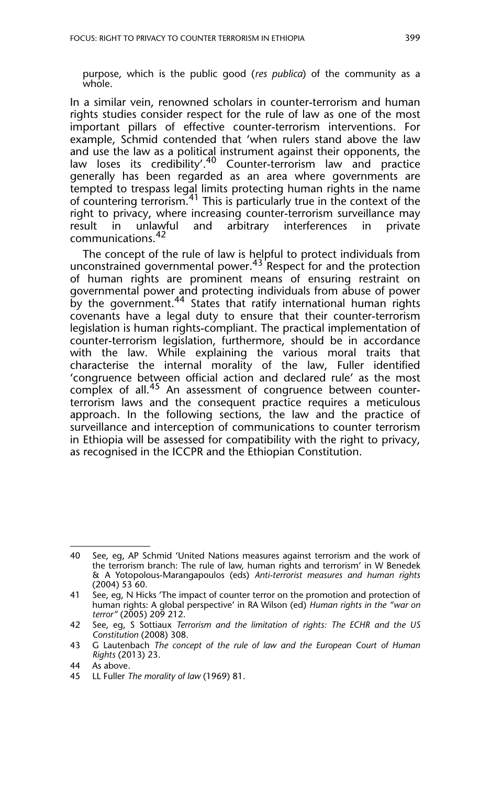purpose, which is the public good (*res publica*) of the community as a whole.

In a similar vein, renowned scholars in counter-terrorism and human rights studies consider respect for the rule of law as one of the most important pillars of effective counter-terrorism interventions. For example, Schmid contended that 'when rulers stand above the law and use the law as a political instrument against their opponents, the law loses its credibility'.<sup>40</sup> Counter-terrorism law and practice generally has been regarded as an area where governments are tempted to trespass legal limits protecting human rights in the name of countering terrorism.<sup>41</sup> This is particularly true in the context of the right to privacy, where increasing counter-terrorism surveillance may<br>result in unlawful and arbitrary interferences in private arbitrary interferences in private communications.<sup>42</sup>

The concept of the rule of law is helpful to protect individuals from unconstrained governmental power.<sup>43</sup> Respect for and the protection of human rights are prominent means of ensuring restraint on governmental power and protecting individuals from abuse of power by the government.44 States that ratify international human rights covenants have a legal duty to ensure that their counter-terrorism legislation is human rights-compliant. The practical implementation of counter-terrorism legislation, furthermore, should be in accordance with the law. While explaining the various moral traits that characterise the internal morality of the law, Fuller identified 'congruence between official action and declared rule' as the most complex of all.<sup>45</sup> An assessment of congruence between counterterrorism laws and the consequent practice requires a meticulous approach. In the following sections, the law and the practice of surveillance and interception of communications to counter terrorism in Ethiopia will be assessed for compatibility with the right to privacy, as recognised in the ICCPR and the Ethiopian Constitution.

<sup>40</sup> See, eg, AP Schmid 'United Nations measures against terrorism and the work of the terrorism branch: The rule of law, human rights and terrorism' in W Benedek & A Yotopolous-Marangapoulos (eds) *Anti-terrorist measures and human rights*  $(2004)$  53 60.

<sup>41</sup> See, eg, N Hicks 'The impact of counter terror on the promotion and protection of human rights: A global perspective' in RA Wilson (ed) *Human rights in the "war on terror"* (2005) 209 212.

<sup>42</sup> See, eg, S Sottiaux *Terrorism and the limitation of rights: The ECHR and the US Constitution* (2008) 308.

<sup>43</sup> G Lautenbach *The concept of the rule of law and the European Court of Human Rights* (2013) 23.

<sup>44</sup> As above.

<sup>45</sup> LL Fuller *The morality of law* (1969) 81.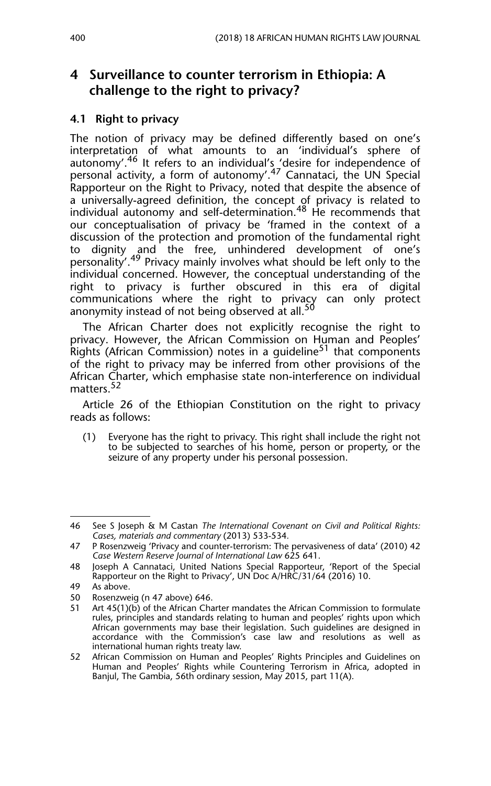## **4 Surveillance to counter terrorism in Ethiopia: A challenge to the right to privacy?**

#### **4.1 Right to privacy**

The notion of privacy may be defined differently based on one's interpretation of what amounts to an 'individual's sphere of autonomy'.<sup>46</sup> It refers to an individual's 'desire for independence of personal activity, a form of autonomy'.<sup>47</sup> Cannataci, the UN Special Rapporteur on the Right to Privacy, noted that despite the absence of a universally-agreed definition, the concept of privacy is related to individual autonomy and self-determination.<sup>48</sup> He recommends that our conceptualisation of privacy be 'framed in the context of a discussion of the protection and promotion of the fundamental right to dignity and the free, unhindered development of one's personality'.49 Privacy mainly involves what should be left only to the individual concerned. However, the conceptual understanding of the right to privacy is further obscured in this era of digital communications where the right to privacy can only protect anonymity instead of not being observed at all.<sup>50</sup>

The African Charter does not explicitly recognise the right to privacy. However, the African Commission on Human and Peoples' Rights (African Commission) notes in a guideline<sup>51</sup> that components of the right to privacy may be inferred from other provisions of the African Charter, which emphasise state non-interference on individual matters.<sup>52</sup>

Article 26 of the Ethiopian Constitution on the right to privacy reads as follows:

(1) Everyone has the right to privacy. This right shall include the right not to be subjected to searches of his home, person or property, or the seizure of any property under his personal possession.

<sup>46</sup> See S Joseph & M Castan *The International Covenant on Civil and Political Rights: Cases, materials and commentary* (2013) 533-534*.*

<sup>47</sup> P Rosenzweig 'Privacy and counter-terrorism: The pervasiveness of data' (2010) 42 *Case Western Reserve Journal of International Law* 625 641.

<sup>48</sup> Joseph A Cannataci, United Nations Special Rapporteur, 'Report of the Special Rapporteur on the Right to Privacy', UN Doc A/HRC/31/64 (2016) 10.

<sup>49</sup> As above.

<sup>50</sup> Rosenzweig (n 47 above) 646.

<sup>51</sup> Art 45(1)(b) of the African Charter mandates the African Commission to formulate rules, principles and standards relating to human and peoples' rights upon which African governments may base their legislation. Such guidelines are designed in accordance with the Commission's case law and resolutions as well as international human rights treaty law.

<sup>52</sup> African Commission on Human and Peoples' Rights Principles and Guidelines on Human and Peoples' Rights while Countering Terrorism in Africa, adopted in Banjul, The Gambia, 56th ordinary session, May 2015, part 11(A).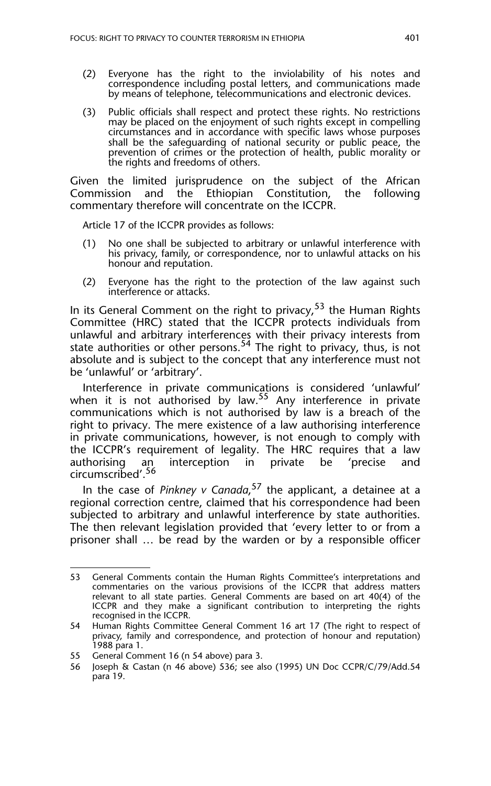- (2) Everyone has the right to the inviolability of his notes and correspondence including postal letters, and communications made by means of telephone, telecommunications and electronic devices.
- (3) Public officials shall respect and protect these rights. No restrictions may be placed on the enjoyment of such rights except in compelling circumstances and in accordance with specific laws whose purposes shall be the safeguarding of national security or public peace, the prevention of crimes or the protection of health, public morality or the rights and freedoms of others.

Given the limited jurisprudence on the subject of the African Commission and the Ethiopian Constitution, the following commentary therefore will concentrate on the ICCPR.

Article 17 of the ICCPR provides as follows:

- (1) No one shall be subjected to arbitrary or unlawful interference with his privacy, family, or correspondence, nor to unlawful attacks on his honour and reputation.
- (2) Everyone has the right to the protection of the law against such interference or attacks.

In its General Comment on the right to privacy,<sup>53</sup> the Human Rights Committee (HRC) stated that the ICCPR protects individuals from unlawful and arbitrary interferences with their privacy interests from state authorities or other persons.<sup>54</sup> The right to privacy, thus, is not absolute and is subject to the concept that any interference must not be 'unlawful' or 'arbitrary'.

Interference in private communications is considered 'unlawful' when it is not authorised by law.  $55$  Any interference in private communications which is not authorised by law is a breach of the right to privacy. The mere existence of a law authorising interference in private communications, however, is not enough to comply with the ICCPR's requirement of legality. The HRC requires that a law<br>authorising an interception in private be 'precise and interception circumscribed'.<sup>56</sup>

In the case of *Pinkney v Canada*, 57 the applicant, a detainee at a regional correction centre, claimed that his correspondence had been subjected to arbitrary and unlawful interference by state authorities. The then relevant legislation provided that 'every letter to or from a prisoner shall … be read by the warden or by a responsible officer

<sup>53</sup> General Comments contain the Human Rights Committee's interpretations and commentaries on the various provisions of the ICCPR that address matters relevant to all state parties. General Comments are based on art 40(4) of the ICCPR and they make a significant contribution to interpreting the rights recognised in the ICCPR.

<sup>54</sup> Human Rights Committee General Comment 16 art 17 (The right to respect of privacy, family and correspondence, and protection of honour and reputation) 1988 para 1.

<sup>55</sup> General Comment 16 (n 54 above) para 3.

Joseph & Castan (n 46 above) 536; see also (1995) UN Doc CCPR/C/79/Add.54 para 19.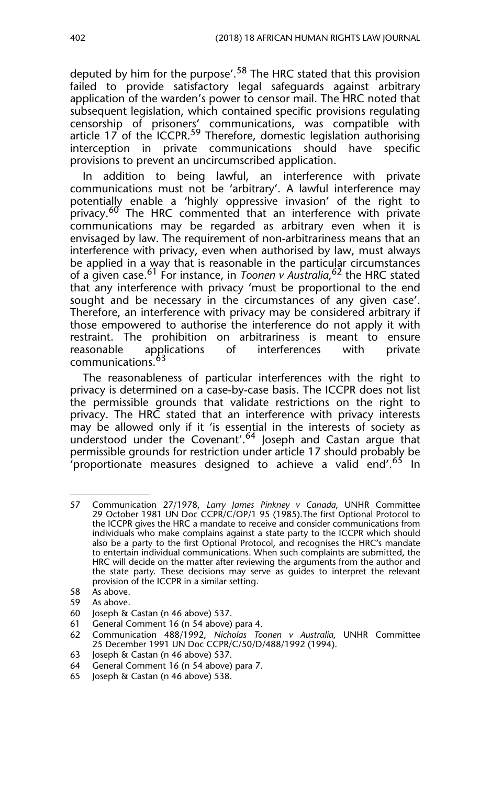deputed by him for the purpose'.<sup>58</sup> The HRC stated that this provision failed to provide satisfactory legal safeguards against arbitrary application of the warden's power to censor mail. The HRC noted that subsequent legislation, which contained specific provisions regulating censorship of prisoners' communications, was compatible with article 17 of the ICCPR.<sup>59</sup> Therefore, domestic legislation authorising interception in private communications should have specific provisions to prevent an uncircumscribed application.

In addition to being lawful, an interference with private communications must not be 'arbitrary'. A lawful interference may potentially enable a 'highly oppressive invasion' of the right to privacy.<sup>60</sup> The HRC commented that an interference with private communications may be regarded as arbitrary even when it is envisaged by law. The requirement of non-arbitrariness means that an interference with privacy, even when authorised by law, must always be applied in a way that is reasonable in the particular circumstances of a given case.61 For instance, in *Toonen v Australia*, 62 the HRC stated that any interference with privacy 'must be proportional to the end sought and be necessary in the circumstances of any given case'. Therefore, an interference with privacy may be considered arbitrary if those empowered to authorise the interference do not apply it with restraint. The prohibition on arbitrariness is meant to ensure reasonable applications of interferences with private communications.<sup>63</sup>

The reasonableness of particular interferences with the right to privacy is determined on a case-by-case basis. The ICCPR does not list the permissible grounds that validate restrictions on the right to privacy. The HRC stated that an interference with privacy interests may be allowed only if it 'is essential in the interests of society as understood under the Covenant'.<sup>64</sup> Joseph and Castan argue that permissible grounds for restriction under article 17 should probably be 'proportionate measures designed to achieve a valid end'.<sup>65</sup> In

As above.

<sup>57</sup> Communication 27/1978, *Larry James Pinkney v Canada*, UNHR Committee 29 October 1981 UN Doc CCPR/C/OP/1 95 (1985).The first Optional Protocol to the ICCPR gives the HRC a mandate to receive and consider communications from individuals who make complains against a state party to the ICCPR which should also be a party to the first Optional Protocol, and recognises the HRC's mandate to entertain individual communications. When such complaints are submitted, the HRC will decide on the matter after reviewing the arguments from the author and the state party. These decisions may serve as guides to interpret the relevant provision of the ICCPR in a similar setting.

<sup>58</sup> As above.<br>59 As above.

<sup>60</sup> Joseph & Castan (n 46 above) 537.

<sup>61</sup> General Comment 16 (n 54 above) para 4.<br>62 Communication 488/1992. Nicholas Too

<sup>62</sup> Communication 488/1992, *Nicholas Toonen v Australia*, UNHR Committee 25 December 1991 UN Doc CCPR/C/50/D/488/1992 (1994).

<sup>63</sup> Joseph & Castan (n 46 above) 537.

<sup>64</sup> General Comment 16 (n 54 above) para 7.

<sup>65</sup> Joseph & Castan (n 46 above) 538.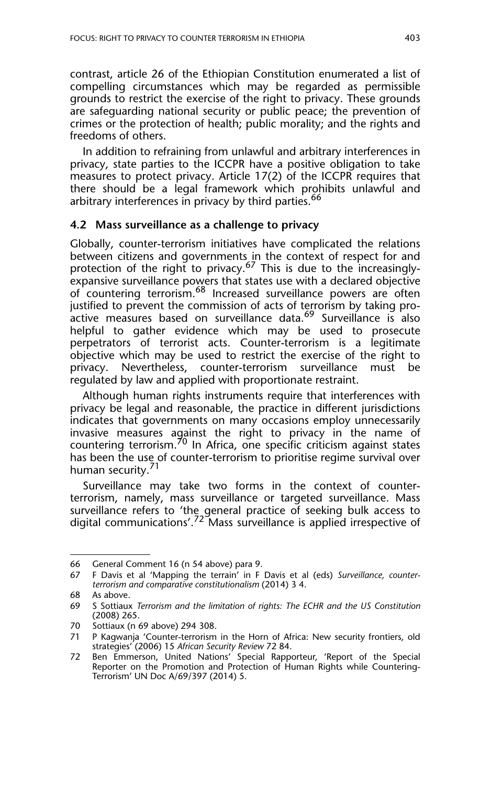contrast, article 26 of the Ethiopian Constitution enumerated a list of compelling circumstances which may be regarded as permissible grounds to restrict the exercise of the right to privacy. These grounds are safeguarding national security or public peace; the prevention of crimes or the protection of health; public morality; and the rights and freedoms of others.

In addition to refraining from unlawful and arbitrary interferences in privacy, state parties to the ICCPR have a positive obligation to take measures to protect privacy. Article 17(2) of the ICCPR requires that there should be a legal framework which prohibits unlawful and arbitrary interferences in privacy by third parties.<sup>66</sup>

#### **4.2 Mass surveillance as a challenge to privacy**

Globally, counter-terrorism initiatives have complicated the relations between citizens and governments in the context of respect for and protection of the right to privacy.67 This is due to the increasinglyexpansive surveillance powers that states use with a declared objective of countering terrorism.<sup>68</sup> Increased surveillance powers are often justified to prevent the commission of acts of terrorism by taking proactive measures based on surveillance data.<sup>69</sup> Surveillance is also helpful to gather evidence which may be used to prosecute perpetrators of terrorist acts. Counter-terrorism is a legitimate objective which may be used to restrict the exercise of the right to privacy. Nevertheless, counter-terrorism surveillance must be regulated by law and applied with proportionate restraint.

Although human rights instruments require that interferences with privacy be legal and reasonable, the practice in different jurisdictions indicates that governments on many occasions employ unnecessarily invasive measures against the right to privacy in the name of countering terrorism.70 In Africa, one specific criticism against states has been the use of counter-terrorism to prioritise regime survival over human security.<sup>71</sup>

Surveillance may take two forms in the context of counterterrorism, namely, mass surveillance or targeted surveillance. Mass surveillance refers to 'the general practice of seeking bulk access to digital communications'.<sup>72</sup> Mass surveillance is applied irrespective of

<sup>66</sup> General Comment 16 (n 54 above) para 9.

<sup>67</sup> F Davis et al 'Mapping the terrain' in F Davis et al (eds) *Surveillance, counterterrorism and comparative constitutionalism* (2014) 3 4.

<sup>68</sup> As above.

<sup>69</sup> S Sottiaux *Terrorism and the limitation of rights: The ECHR and the US Constitution* (2008) 265.

<sup>70</sup> Sottiaux (n 69 above) 294 308.

<sup>71</sup> P Kagwanja 'Counter-terrorism in the Horn of Africa: New security frontiers, old strategies' (2006) 15 *African Security Review* 72 84.

<sup>72</sup> Ben Emmerson, United Nations' Special Rapporteur, 'Report of the Special Reporter on the Promotion and Protection of Human Rights while Countering-Terrorism' UN Doc A/69/397 (2014) 5.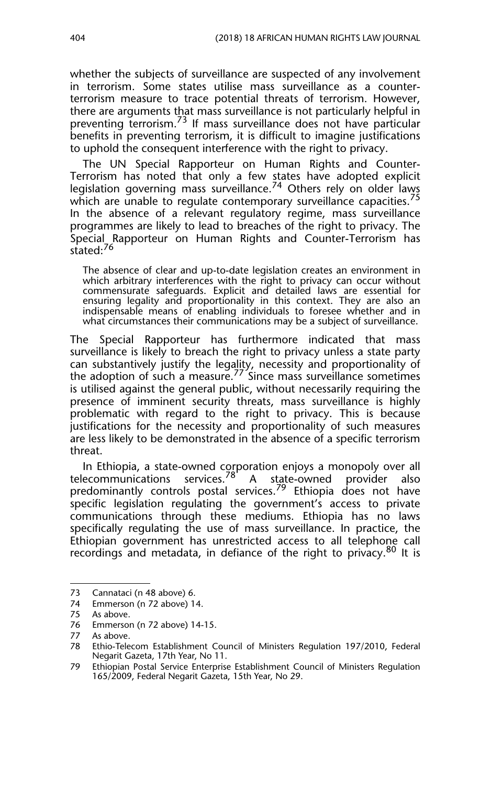whether the subjects of surveillance are suspected of any involvement in terrorism. Some states utilise mass surveillance as a counterterrorism measure to trace potential threats of terrorism. However, there are arguments that mass surveillance is not particularly helpful in preventing terrorism.<sup>73</sup> If mass surveillance does not have particular benefits in preventing terrorism, it is difficult to imagine justifications to uphold the consequent interference with the right to privacy.

The UN Special Rapporteur on Human Rights and Counter-Terrorism has noted that only a few states have adopted explicit legislation governing mass surveillance.<sup>74</sup> Others rely on older laws which are unable to regulate contemporary surveillance capacities.<sup>75</sup> In the absence of a relevant regulatory regime, mass surveillance programmes are likely to lead to breaches of the right to privacy. The Special Rapporteur on Human Rights and Counter-Terrorism has stated:<sup>76</sup>

The absence of clear and up-to-date legislation creates an environment in which arbitrary interferences with the right to privacy can occur without commensurate safeguards. Explicit and detailed laws are essential for ensuring legality and proportionality in this context. They are also an indispensable means of enabling individuals to foresee whether and in what circumstances their communications may be a subject of surveillance.

The Special Rapporteur has furthermore indicated that mass surveillance is likely to breach the right to privacy unless a state party can substantively justify the legality, necessity and proportionality of the adoption of such a measure.<sup>77</sup> Since mass surveillance sometimes is utilised against the general public, without necessarily requiring the presence of imminent security threats, mass surveillance is highly problematic with regard to the right to privacy. This is because justifications for the necessity and proportionality of such measures are less likely to be demonstrated in the absence of a specific terrorism threat.

In Ethiopia, a state-owned corporation enjoys a monopoly over all telecommunications services.<sup>78</sup> A state-owned provider also predominantly controls postal services.79 Ethiopia does not have specific legislation regulating the government's access to private communications through these mediums. Ethiopia has no laws specifically regulating the use of mass surveillance. In practice, the Ethiopian government has unrestricted access to all telephone call recordings and metadata, in defiance of the right to privacy.<sup>80</sup> It is

<sup>73</sup> Cannataci (n 48 above) 6.

<sup>74</sup> Emmerson (n 72 above) 14.

<sup>75</sup> As above.

<sup>76</sup> Emmerson (n 72 above) 14-15.

<sup>77</sup> As above.

<sup>78</sup> Ethio-Telecom Establishment Council of Ministers Regulation 197/2010, Federal Negarit Gazeta, 17th Year, No 11.

<sup>79</sup> Ethiopian Postal Service Enterprise Establishment Council of Ministers Regulation 165/2009, Federal Negarit Gazeta, 15th Year, No 29.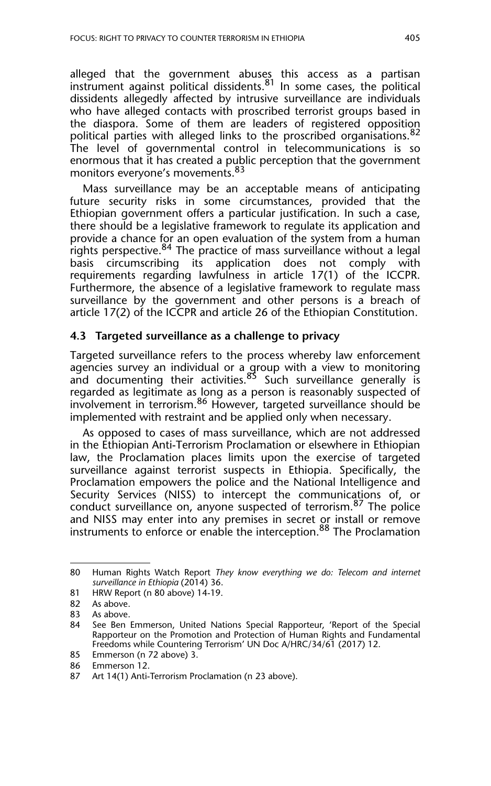alleged that the government abuses this access as a partisan  $\frac{1}{2}$  instrument against political dissidents.<sup>81</sup> In some cases, the political dissidents allegedly affected by intrusive surveillance are individuals who have alleged contacts with proscribed terrorist groups based in the diaspora. Some of them are leaders of registered opposition political parties with alleged links to the proscribed organisations.<sup>82</sup> The level of governmental control in telecommunications is so enormous that it has created a public perception that the government monitors everyone's movements.83

Mass surveillance may be an acceptable means of anticipating future security risks in some circumstances, provided that the Ethiopian government offers a particular justification. In such a case, there should be a legislative framework to regulate its application and provide a chance for an open evaluation of the system from a human rights perspective.<sup>84</sup> The practice of mass surveillance without a legal basis circumscribing its application does not comply with requirements regarding lawfulness in article 17(1) of the ICCPR. Furthermore, the absence of a legislative framework to regulate mass surveillance by the government and other persons is a breach of article 17(2) of the ICCPR and article 26 of the Ethiopian Constitution.

#### **4.3 Targeted surveillance as a challenge to privacy**

Targeted surveillance refers to the process whereby law enforcement agencies survey an individual or a group with a view to monitoring and documenting their activities. $85$  Such surveillance generally is regarded as legitimate as long as a person is reasonably suspected of involvement in terrorism.<sup>86</sup> However, targeted surveillance should be implemented with restraint and be applied only when necessary.

As opposed to cases of mass surveillance, which are not addressed in the Ethiopian Anti-Terrorism Proclamation or elsewhere in Ethiopian law, the Proclamation places limits upon the exercise of targeted surveillance against terrorist suspects in Ethiopia. Specifically, the Proclamation empowers the police and the National Intelligence and Security Services (NISS) to intercept the communications of, or conduct surveillance on, anyone suspected of terrorism.<sup>87</sup> The police and NISS may enter into any premises in secret or install or remove instruments to enforce or enable the interception.<sup>88</sup> The Proclamation

<sup>80</sup> Human Rights Watch Report *They know everything we do: Telecom and internet surveillance in Ethiopia* (2014) 36.

<sup>81</sup> HRW Report (n 80 above) 14-19.

<sup>82</sup> As above.<br>83 As above

As above.

<sup>84</sup> See Ben Emmerson, United Nations Special Rapporteur, 'Report of the Special Rapporteur on the Promotion and Protection of Human Rights and Fundamental Freedoms while Countering Terrorism' UN Doc A/HRC/34/61 (2017) 12.

<sup>85</sup> Emmerson (n 72 above) 3.

<sup>86</sup> Emmerson 12.

<sup>87</sup> Art 14(1) Anti-Terrorism Proclamation (n 23 above).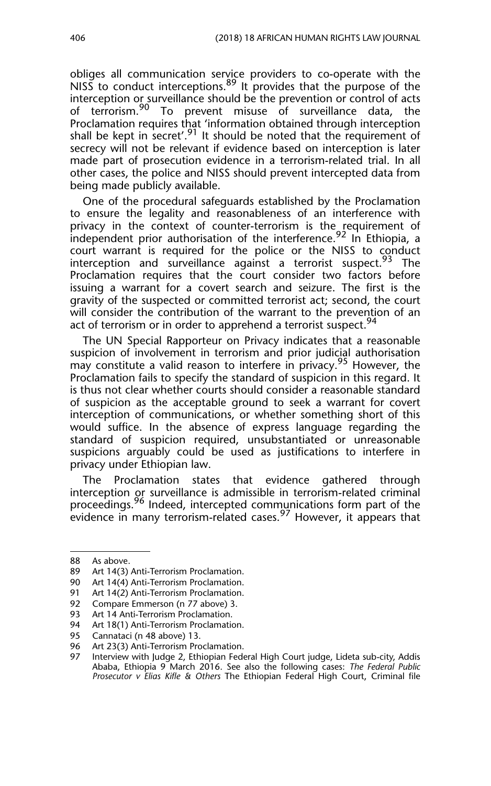obliges all communication service providers to co-operate with the NISS to conduct interceptions.<sup>89</sup> It provides that the purpose of the interception or surveillance should be the prevention or control of acts of terrorism.<sup>90</sup> To prevent misuse of surveillance data, the Proclamation requires that 'information obtained through interception shall be kept in secret'.<sup>91</sup> It should be noted that the requirement of secrecy will not be relevant if evidence based on interception is later made part of prosecution evidence in a terrorism-related trial. In all other cases, the police and NISS should prevent intercepted data from being made publicly available.

One of the procedural safeguards established by the Proclamation to ensure the legality and reasonableness of an interference with privacy in the context of counter-terrorism is the requirement of independent prior authorisation of the interference.<sup>92</sup> In Ethiopia, a court warrant is required for the police or the NISS to conduct interception and surveillance against a terrorist suspect.<sup>93</sup> The Proclamation requires that the court consider two factors before issuing a warrant for a covert search and seizure. The first is the gravity of the suspected or committed terrorist act; second, the court will consider the contribution of the warrant to the prevention of an act of terrorism or in order to apprehend a terrorist suspect.<sup>94</sup>

The UN Special Rapporteur on Privacy indicates that a reasonable suspicion of involvement in terrorism and prior judicial authorisation may constitute a valid reason to interfere in privacy.<sup>95</sup> However, the Proclamation fails to specify the standard of suspicion in this regard. It is thus not clear whether courts should consider a reasonable standard of suspicion as the acceptable ground to seek a warrant for covert interception of communications, or whether something short of this would suffice. In the absence of express language regarding the standard of suspicion required, unsubstantiated or unreasonable suspicions arguably could be used as justifications to interfere in privacy under Ethiopian law.

The Proclamation states that evidence gathered through interception or surveillance is admissible in terrorism-related criminal proceedings.<sup>96</sup> Indeed, intercepted communications form part of the evidence in many terrorism-related cases.<sup>97</sup> However, it appears that

<sup>88</sup> As above.

<sup>89</sup> Art 14(3) Anti-Terrorism Proclamation.<br>90 Art 14(4) Anti-Terrorism Proclamation.

Art 14(4) Anti-Terrorism Proclamation.

<sup>91</sup> Art 14(2) Anti-Terrorism Proclamation.<br>92 Compare Emmerson (n 77 above) 3.

<sup>92</sup> Compare Emmerson (n 77 above) 3.<br>93 Art 14 Anti-Terrorism Proclamation.

Art 14 Anti-Terrorism Proclamation.

<sup>94</sup> Art 18(1) Anti-Terrorism Proclamation.

<sup>95</sup> Cannataci (n 48 above) 13.<br>96 Art 23(3) Anti-Terrorism Pro

Art 23(3) Anti-Terrorism Proclamation.

<sup>97</sup> Interview with Judge 2, Ethiopian Federal High Court judge, Lideta sub-city, Addis Ababa, Ethiopia 9 March 2016. See also the following cases: *The Federal Public Prosecutor v Elias Kifle & Others* The Ethiopian Federal High Court, Criminal file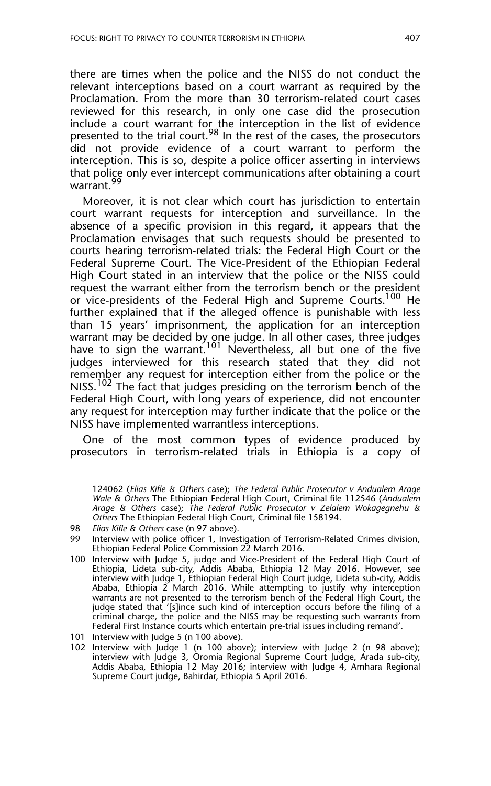there are times when the police and the NISS do not conduct the relevant interceptions based on a court warrant as required by the Proclamation. From the more than 30 terrorism-related court cases reviewed for this research, in only one case did the prosecution include a court warrant for the interception in the list of evidence presented to the trial court.<sup>98</sup> In the rest of the cases, the prosecutors did not provide evidence of a court warrant to perform the interception. This is so, despite a police officer asserting in interviews that police only ever intercept communications after obtaining a court warrant.<sup>99</sup>

Moreover, it is not clear which court has jurisdiction to entertain court warrant requests for interception and surveillance. In the absence of a specific provision in this regard, it appears that the Proclamation envisages that such requests should be presented to courts hearing terrorism-related trials: the Federal High Court or the Federal Supreme Court. The Vice-President of the Ethiopian Federal High Court stated in an interview that the police or the NISS could request the warrant either from the terrorism bench or the president or vice-presidents of the Federal High and Supreme Courts.<sup>100</sup> He further explained that if the alleged offence is punishable with less than 15 years' imprisonment, the application for an interception warrant may be decided by one judge. In all other cases, three judges have to sign the warrant.<sup>101</sup> Nevertheless, all but one of the five judges interviewed for this research stated that they did not remember any request for interception either from the police or the NISS.<sup>102</sup> The fact that judges presiding on the terrorism bench of the Federal High Court, with long years of experience, did not encounter any request for interception may further indicate that the police or the NISS have implemented warrantless interceptions.

One of the most common types of evidence produced by prosecutors in terrorism-related trials in Ethiopia is a copy of

*<sup>98</sup>* 124062 (*Elias Kifle & Others* case); *The Federal Public Prosecutor v Andualem Arage Wale & Others* The Ethiopian Federal High Court, Criminal file 112546 (*Andualem Arage & Others* case); *The Federal Public Prosecutor v Zelalem Wokagegnehu & Others* The Ethiopian Federal High Court, Criminal file 158194.

<sup>98</sup> *Elias Kifle & Others* case (n 97 above).

<sup>99</sup> Interview with police officer 1, Investigation of Terrorism-Related Crimes division, Ethiopian Federal Police Commission 22 March 2016.

<sup>100</sup> Interview with Judge 5, judge and Vice-President of the Federal High Court of Ethiopia, Lideta sub-city, Addis Ababa, Ethiopia 12 May 2016. However, see interview with Judge 1, Ethiopian Federal High Court judge, Lideta sub-city, Addis Ababa, Ethiopia 2 March 2016. While attempting to justify why interception warrants are not presented to the terrorism bench of the Federal High Court, the judge stated that '[s]ince such kind of interception occurs before the filing of a criminal charge, the police and the NISS may be requesting such warrants from Federal First Instance courts which entertain pre-trial issues including remand'.

<sup>101</sup> Interview with Judge 5 (n 100 above).

<sup>102</sup> Interview with Judge 1 (n 100 above); interview with Judge 2 (n 98 above); interview with Judge 3, Oromia Regional Supreme Court Judge, Arada sub-city, Addis Ababa, Ethiopia 12 May 2016; interview with Judge 4, Amhara Regional Supreme Court judge, Bahirdar, Ethiopia 5 April 2016.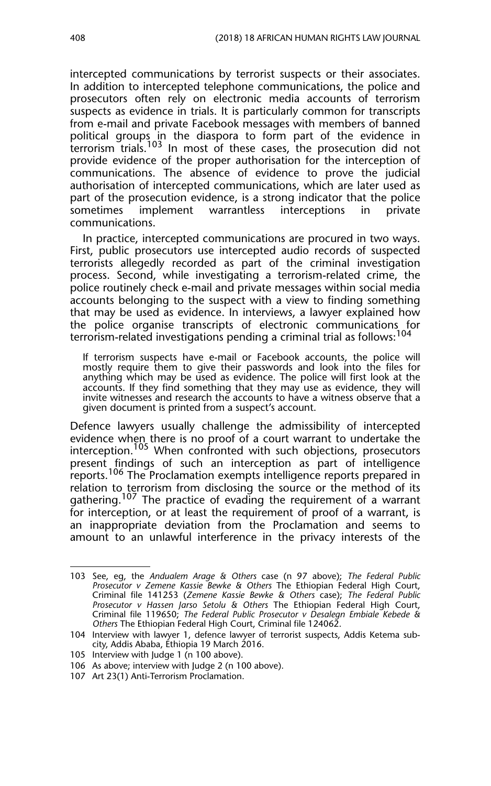intercepted communications by terrorist suspects or their associates. In addition to intercepted telephone communications, the police and prosecutors often rely on electronic media accounts of terrorism suspects as evidence in trials. It is particularly common for transcripts from e-mail and private Facebook messages with members of banned political groups in the diaspora to form part of the evidence in terrorism trials.<sup>103</sup> In most of these cases, the prosecution did not provide evidence of the proper authorisation for the interception of communications. The absence of evidence to prove the judicial authorisation of intercepted communications, which are later used as part of the prosecution evidence, is a strong indicator that the police sometimes implement warrantless interceptions in private communications.

In practice, intercepted communications are procured in two ways. First, public prosecutors use intercepted audio records of suspected terrorists allegedly recorded as part of the criminal investigation process. Second, while investigating a terrorism-related crime, the police routinely check e-mail and private messages within social media accounts belonging to the suspect with a view to finding something that may be used as evidence. In interviews, a lawyer explained how the police organise transcripts of electronic communications for terrorism-related investigations pending a criminal trial as follows:  $104$ 

If terrorism suspects have e-mail or Facebook accounts, the police will mostly require them to give their passwords and look into the files for anything which may be used as evidence. The police will first look at the accounts. If they find something that they may use as evidence, they will invite witnesses and research the accounts to have a witness observe that a given document is printed from a suspect's account.

Defence lawyers usually challenge the admissibility of intercepted evidence when there is no proof of a court warrant to undertake the interception.<sup>105</sup> When confronted with such objections, prosecutors present findings of such an interception as part of intelligence reports.<sup>106</sup> The Proclamation exempts intelligence reports prepared in relation to terrorism from disclosing the source or the method of its gathering.<sup>107</sup> The practice of evading the requirement of a warrant for interception, or at least the requirement of proof of a warrant, is an inappropriate deviation from the Proclamation and seems to amount to an unlawful interference in the privacy interests of the

<sup>103</sup> See, eg, the *Andualem Arage & Others* case (n 97 above); *The Federal Public Prosecutor v Zemene Kassie Bewke & Others* The Ethiopian Federal High Court, Criminal file 141253 (*Zemene Kassie Bewke & Others* case); *The Federal Public Prosecutor v Hassen Jarso Setolu & Others* The Ethiopian Federal High Court, Criminal file 119650; *The Federal Public Prosecutor v Desalegn Embiale Kebede & Others* The Ethiopian Federal High Court, Criminal file 124062.

<sup>104</sup> Interview with lawyer 1, defence lawyer of terrorist suspects, Addis Ketema subcity, Addis Ababa, Ethiopia 19 March 2016.

<sup>105</sup> Interview with Judge 1 (n 100 above).

<sup>106</sup> As above; interview with Judge 2 (n 100 above).

<sup>107</sup> Art 23(1) Anti-Terrorism Proclamation.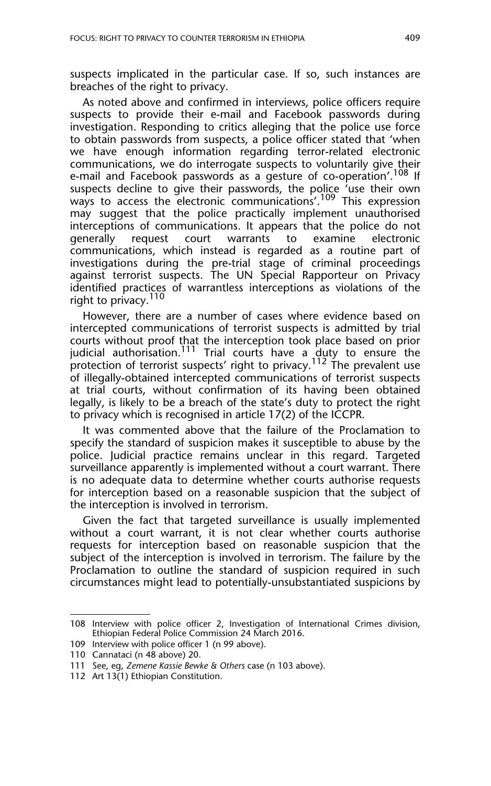suspects implicated in the particular case. If so, such instances are breaches of the right to privacy.

As noted above and confirmed in interviews, police officers require suspects to provide their e-mail and Facebook passwords during investigation. Responding to critics alleging that the police use force to obtain passwords from suspects, a police officer stated that 'when we have enough information regarding terror-related electronic communications, we do interrogate suspects to voluntarily give their e-mail and Facebook passwords as a gesture of co-operation'.<sup>108</sup> If suspects decline to give their passwords, the police 'use their own ways to access the electronic communications'.<sup>109</sup> This expression may suggest that the police practically implement unauthorised interceptions of communications. It appears that the police do not generally request court warrants to examine electronic communications, which instead is regarded as a routine part of investigations during the pre-trial stage of criminal proceedings against terrorist suspects. The UN Special Rapporteur on Privacy identified practices of warrantless interceptions as violations of the right to privacy.<sup>110</sup>

However, there are a number of cases where evidence based on intercepted communications of terrorist suspects is admitted by trial courts without proof that the interception took place based on prior iudicial authorisation.<sup>111</sup> Trial courts have a duty to ensure the protection of terrorist suspects' right to privacy.<sup>112</sup> The prevalent use of illegally-obtained intercepted communications of terrorist suspects at trial courts, without confirmation of its having been obtained legally, is likely to be a breach of the state's duty to protect the right to privacy which is recognised in article 17(2) of the ICCPR.

It was commented above that the failure of the Proclamation to specify the standard of suspicion makes it susceptible to abuse by the police. Judicial practice remains unclear in this regard. Targeted surveillance apparently is implemented without a court warrant. There is no adequate data to determine whether courts authorise requests for interception based on a reasonable suspicion that the subject of the interception is involved in terrorism.

Given the fact that targeted surveillance is usually implemented without a court warrant, it is not clear whether courts authorise requests for interception based on reasonable suspicion that the subject of the interception is involved in terrorism. The failure by the Proclamation to outline the standard of suspicion required in such circumstances might lead to potentially-unsubstantiated suspicions by

<sup>108</sup> Interview with police officer 2, Investigation of International Crimes division, Ethiopian Federal Police Commission 24 March 2016.

<sup>109</sup> Interview with police officer 1 (n 99 above).

<sup>110</sup> Cannataci (n 48 above) 20.

<sup>111</sup> See, eg, *Zemene Kassie Bewke & Others* case (n 103 above).

<sup>112</sup> Art 13(1) Ethiopian Constitution.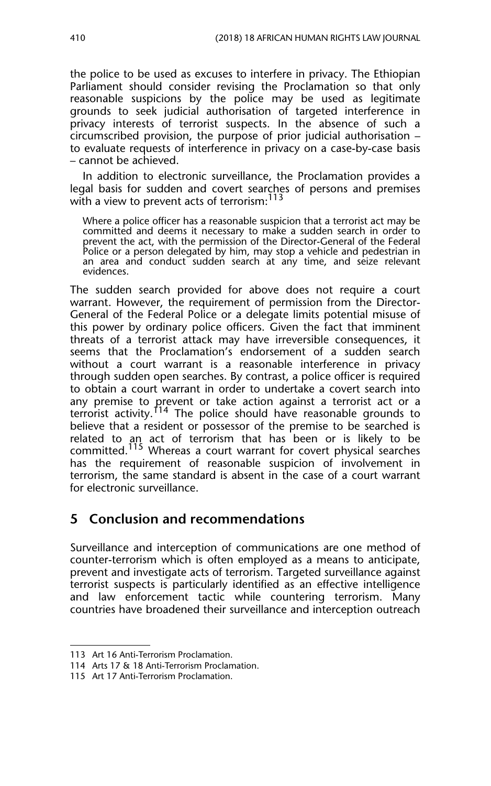the police to be used as excuses to interfere in privacy. The Ethiopian Parliament should consider revising the Proclamation so that only reasonable suspicions by the police may be used as legitimate grounds to seek judicial authorisation of targeted interference in privacy interests of terrorist suspects. In the absence of such a circumscribed provision, the purpose of prior judicial authorisation – to evaluate requests of interference in privacy on a case-by-case basis – cannot be achieved.

In addition to electronic surveillance, the Proclamation provides a legal basis for sudden and covert searches of persons and premises with a view to prevent acts of terrorism: $113$ 

Where a police officer has a reasonable suspicion that a terrorist act may be committed and deems it necessary to make a sudden search in order to prevent the act, with the permission of the Director-General of the Federal Police or a person delegated by him, may stop a vehicle and pedestrian in an area and conduct sudden search at any time, and seize relevant evidences.

The sudden search provided for above does not require a court warrant. However, the requirement of permission from the Director-General of the Federal Police or a delegate limits potential misuse of this power by ordinary police officers. Given the fact that imminent threats of a terrorist attack may have irreversible consequences, it seems that the Proclamation's endorsement of a sudden search without a court warrant is a reasonable interference in privacy through sudden open searches. By contrast, a police officer is required to obtain a court warrant in order to undertake a covert search into any premise to prevent or take action against a terrorist act or a terrorist activity.<sup>114</sup> The police should have reasonable grounds to believe that a resident or possessor of the premise to be searched is related to an act of terrorism that has been or is likely to be committed.115 Whereas a court warrant for covert physical searches has the requirement of reasonable suspicion of involvement in terrorism, the same standard is absent in the case of a court warrant for electronic surveillance.

## **5 Conclusion and recommendations**

Surveillance and interception of communications are one method of counter-terrorism which is often employed as a means to anticipate, prevent and investigate acts of terrorism. Targeted surveillance against terrorist suspects is particularly identified as an effective intelligence and law enforcement tactic while countering terrorism. Many countries have broadened their surveillance and interception outreach

<sup>113</sup> Art 16 Anti-Terrorism Proclamation.

<sup>114</sup> Arts 17 & 18 Anti-Terrorism Proclamation.

<sup>115</sup> Art 17 Anti-Terrorism Proclamation.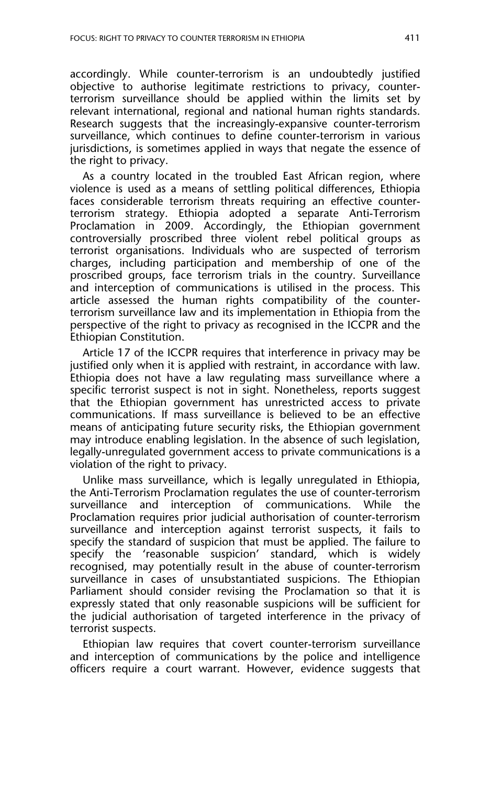accordingly. While counter-terrorism is an undoubtedly justified objective to authorise legitimate restrictions to privacy, counterterrorism surveillance should be applied within the limits set by relevant international, regional and national human rights standards. Research suggests that the increasingly-expansive counter-terrorism surveillance, which continues to define counter-terrorism in various jurisdictions, is sometimes applied in ways that negate the essence of the right to privacy.

As a country located in the troubled East African region, where violence is used as a means of settling political differences, Ethiopia faces considerable terrorism threats requiring an effective counterterrorism strategy. Ethiopia adopted a separate Anti-Terrorism Proclamation in 2009. Accordingly, the Ethiopian government controversially proscribed three violent rebel political groups as terrorist organisations. Individuals who are suspected of terrorism charges, including participation and membership of one of the proscribed groups, face terrorism trials in the country. Surveillance and interception of communications is utilised in the process. This article assessed the human rights compatibility of the counterterrorism surveillance law and its implementation in Ethiopia from the perspective of the right to privacy as recognised in the ICCPR and the Ethiopian Constitution.

Article 17 of the ICCPR requires that interference in privacy may be justified only when it is applied with restraint, in accordance with law. Ethiopia does not have a law regulating mass surveillance where a specific terrorist suspect is not in sight. Nonetheless, reports suggest that the Ethiopian government has unrestricted access to private communications. If mass surveillance is believed to be an effective means of anticipating future security risks, the Ethiopian government may introduce enabling legislation. In the absence of such legislation, legally-unregulated government access to private communications is a violation of the right to privacy.

Unlike mass surveillance, which is legally unregulated in Ethiopia, the Anti-Terrorism Proclamation regulates the use of counter-terrorism surveillance and interception of communications. While the Proclamation requires prior judicial authorisation of counter-terrorism surveillance and interception against terrorist suspects, it fails to specify the standard of suspicion that must be applied. The failure to specify the 'reasonable suspicion' standard, which is widely recognised, may potentially result in the abuse of counter-terrorism surveillance in cases of unsubstantiated suspicions. The Ethiopian Parliament should consider revising the Proclamation so that it is expressly stated that only reasonable suspicions will be sufficient for the judicial authorisation of targeted interference in the privacy of terrorist suspects.

Ethiopian law requires that covert counter-terrorism surveillance and interception of communications by the police and intelligence officers require a court warrant. However, evidence suggests that